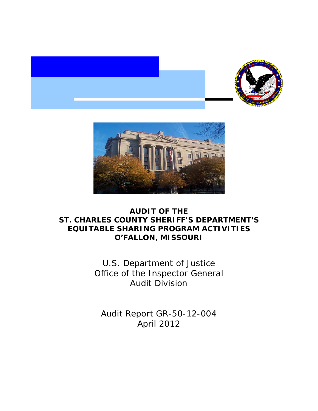



## **AUDIT OF THE ST. CHARLES COUNTY SHERIFF'S DEPARTMENT'S EQUITABLE SHARING PROGRAM ACTIVITIES O'FALLON, MISSOURI**

 Office of the Inspector General U.S. Department of Justice Audit Division

 Audit Report GR-50-12-004 April 2012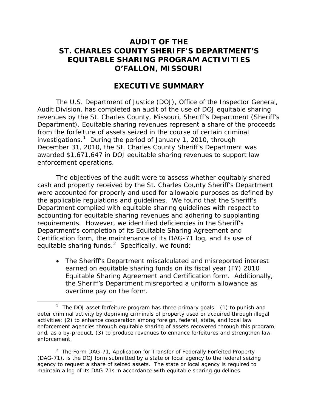## **AUDIT OF THE ST. CHARLES COUNTY SHERIFF'S DEPARTMENT'S EQUITABLE SHARING PROGRAM ACTIVITIES O'FALLON, MISSOURI**

## **EXECUTIVE SUMMARY**

 Department). Equitable sharing revenues represent a share of the proceeds investigations.<sup>[1](#page-1-0)</sup> During the period of January 1, 2010, through The U.S. Department of Justice (DOJ), Office of the Inspector General, Audit Division, has completed an audit of the use of DOJ equitable sharing revenues by the St. Charles County, Missouri, Sheriff's Department (Sheriff's from the forfeiture of assets seized in the course of certain criminal December 31, 2010, the St. Charles County Sheriff's Department was awarded \$1,671,647 in DOJ equitable sharing revenues to support law enforcement operations.

 requirements. However, we identified deficiencies in the Sheriff's Certification form, the maintenance of its DAG-71 log, and its use of equitable sharing funds. $^2$  $^2$  Specifically, we found: The objectives of the audit were to assess whether equitably shared cash and property received by the St. Charles County Sheriff's Department were accounted for properly and used for allowable purposes as defined by the applicable regulations and guidelines. We found that the Sheriff's Department complied with equitable sharing guidelines with respect to accounting for equitable sharing revenues and adhering to supplanting Department's completion of its Equitable Sharing Agreement and

• The Sheriff's Department miscalculated and misreported interest earned on equitable sharing funds on its fiscal year (FY) 2010 Equitable Sharing Agreement and Certification form. Additionally, the Sheriff's Department misreported a uniform allowance as overtime pay on the form.

 $\overline{a}$ 

<span id="page-1-0"></span><sup>&</sup>lt;sup>1</sup> The DOJ asset forfeiture program has three primary goals: (1) to punish and deter criminal activity by depriving criminals of property used or acquired through illegal activities; (2) to enhance cooperation among foreign, federal, state, and local law enforcement agencies through equitable sharing of assets recovered through this program; and, as a by-product, (3) to produce revenues to enhance forfeitures and strengthen law enforcement.

<span id="page-1-1"></span><sup>&</sup>lt;sup>2</sup> The Form DAG-71, Application for Transfer of Federally Forfeited Property (DAG-71), is the DOJ form submitted by a state or local agency to the federal seizing agency to request a share of seized assets. The state or local agency is required to maintain a log of its DAG-71s in accordance with equitable sharing guidelines.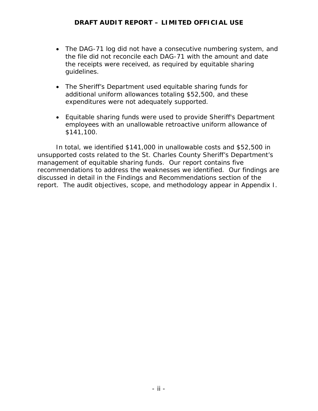- the file did not reconcile each DAG-71 with the amount and date • The DAG-71 log did not have a consecutive numbering system, and the receipts were received, as required by equitable sharing guidelines.
- The Sheriff's Department used equitable sharing funds for additional uniform allowances totaling \$52,500, and these expenditures were not adequately supported.
- Equitable sharing funds were used to provide Sheriff's Department employees with an unallowable retroactive uniform allowance of \$141,100.

 management of equitable sharing funds. Our report contains five recommendations to address the weaknesses we identified. Our findings are report. The audit objectives, scope, and methodology appear in Appendix I. In total, we identified \$141,000 in unallowable costs and \$52,500 in unsupported costs related to the St. Charles County Sheriff's Department's discussed in detail in the Findings and Recommendations section of the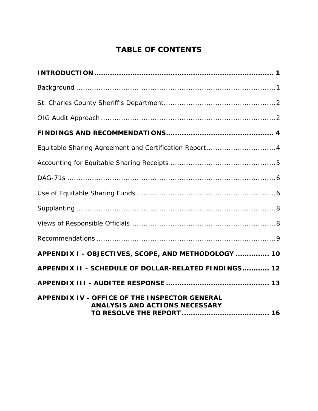# **TABLE OF CONTENTS**

| Equitable Sharing Agreement and Certification Report4                                  |
|----------------------------------------------------------------------------------------|
|                                                                                        |
|                                                                                        |
|                                                                                        |
|                                                                                        |
|                                                                                        |
|                                                                                        |
| APPENDIX I - OBJECTIVES, SCOPE, AND METHODOLOGY  10                                    |
| APPENDIX II - SCHEDULE OF DOLLAR-RELATED FINDINGS 12                                   |
|                                                                                        |
| APPENDIX IV - OFFICE OF THE INSPECTOR GENERAL<br><b>ANALYSIS AND ACTIONS NECESSARY</b> |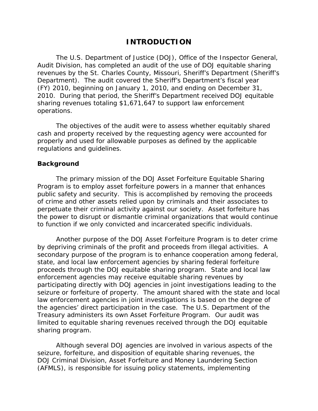### **INTRODUCTION**

 2010. During that period, the Sheriff's Department received DOJ equitable The U.S. Department of Justice (DOJ), Office of the Inspector General, Audit Division, has completed an audit of the use of DOJ equitable sharing revenues by the St. Charles County, Missouri, Sheriff's Department (Sheriff's Department). The audit covered the Sheriff's Department's fiscal year (FY) 2010, beginning on January 1, 2010, and ending on December 31, sharing revenues totaling \$1,671,647 to support law enforcement operations.

The objectives of the audit were to assess whether equitably shared cash and property received by the requesting agency were accounted for properly and used for allowable purposes as defined by the applicable regulations and guidelines.

#### **Background**

The primary mission of the DOJ Asset Forfeiture Equitable Sharing Program is to employ asset forfeiture powers in a manner that enhances public safety and security. This is accomplished by removing the proceeds of crime and other assets relied upon by criminals and their associates to perpetuate their criminal activity against our society. Asset forfeiture has the power to disrupt or dismantle criminal organizations that would continue to function if we only convicted and incarcerated specific individuals.

Another purpose of the DOJ Asset Forfeiture Program is to deter crime by depriving criminals of the profit and proceeds from illegal activities. A secondary purpose of the program is to enhance cooperation among federal, state, and local law enforcement agencies by sharing federal forfeiture proceeds through the DOJ equitable sharing program. State and local law enforcement agencies may receive equitable sharing revenues by participating directly with DOJ agencies in joint investigations leading to the seizure or forfeiture of property. The amount shared with the state and local law enforcement agencies in joint investigations is based on the degree of the agencies' direct participation in the case. The U.S. Department of the Treasury administers its own Asset Forfeiture Program. Our audit was limited to equitable sharing revenues received through the DOJ equitable sharing program.

Although several DOJ agencies are involved in various aspects of the seizure, forfeiture, and disposition of equitable sharing revenues, the DOJ Criminal Division, Asset Forfeiture and Money Laundering Section (AFMLS), is responsible for issuing policy statements, implementing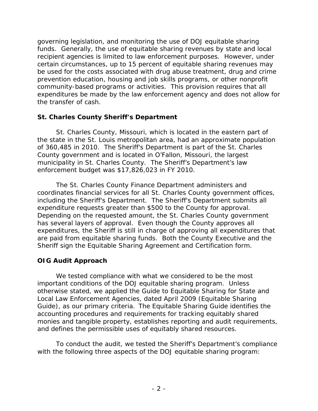certain circumstances, up to 15 percent of equitable sharing revenues may governing legislation, and monitoring the use of DOJ equitable sharing funds. Generally, the use of equitable sharing revenues by state and local recipient agencies is limited to law enforcement purposes. However, under be used for the costs associated with drug abuse treatment, drug and crime prevention education, housing and job skills programs, or other nonprofit community-based programs or activities. This provision requires that all expenditures be made by the law enforcement agency and does not allow for the transfer of cash.

### **St. Charles County Sheriff's Department**

 the state in the St. Louis metropolitan area, had an approximate population of 360,485 in 2010. The Sheriff's Department is part of the St. Charles County government and is located in O'Fallon, Missouri, the largest municipality in St. Charles County. The Sheriff's Department's law enforcement budget was \$17,826,023 in FY 2010. St. Charles County, Missouri, which is located in the eastern part of

 Sheriff sign the Equitable Sharing Agreement and Certification form. The St. Charles County Finance Department administers and coordinates financial services for all St. Charles County government offices, including the Sheriff's Department. The Sheriff's Department submits all expenditure requests greater than \$500 to the County for approval. Depending on the requested amount, the St. Charles County government has several layers of approval. Even though the County approves all expenditures, the Sheriff is still in charge of approving all expenditures that are paid from equitable sharing funds. Both the County Executive and the

## **OIG Audit Approach**

We tested compliance with what we considered to be the most important conditions of the DOJ equitable sharing program. Unless otherwise stated, we applied the Guide to Equitable Sharing for State and Local Law Enforcement Agencies, dated April 2009 (Equitable Sharing Guide), as our primary criteria. The Equitable Sharing Guide identifies the accounting procedures and requirements for tracking equitably shared monies and tangible property, establishes reporting and audit requirements, and defines the permissible uses of equitably shared resources.

To conduct the audit, we tested the Sheriff's Department's compliance with the following three aspects of the DOJ equitable sharing program: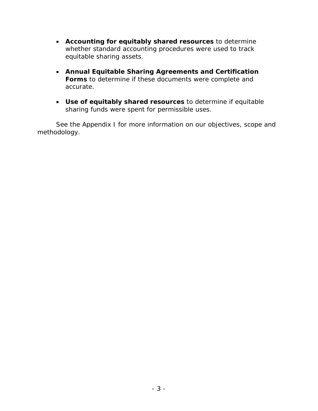- • **Accounting for equitably shared resources** to determine whether standard accounting procedures were used to track equitable sharing assets.
- • **Annual Equitable Sharing Agreements and Certification Forms** to determine if these documents were complete and accurate.
- sharing funds were spent for permissible uses. • **Use of equitably shared resources** to determine if equitable

See the Appendix I for more information on our objectives, scope and methodology.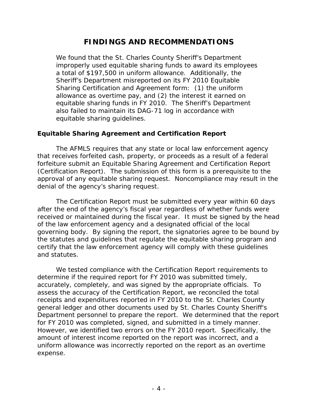## **FINDINGS AND RECOMMENDATIONS**

 allowance as overtime pay, and (2) the interest it earned on We found that the St. Charles County Sheriff's Department improperly used equitable sharing funds to award its employees a total of \$197,500 in uniform allowance. Additionally, the Sheriff's Department misreported on its FY 2010 Equitable Sharing Certification and Agreement form: (1) the uniform equitable sharing funds in FY 2010. The Sheriff's Department also failed to maintain its DAG-71 log in accordance with equitable sharing guidelines.

### **Equitable Sharing Agreement and Certification Report**

 (Certification Report). The submission of this form is a prerequisite to the approval of any equitable sharing request. Noncompliance may result in the The AFMLS requires that any state or local law enforcement agency that receives forfeited cash, property, or proceeds as a result of a federal forfeiture submit an Equitable Sharing Agreement and Certification Report denial of the agency's sharing request.

 received or maintained during the fiscal year. It must be signed by the head The Certification Report must be submitted every year within 60 days after the end of the agency's fiscal year regardless of whether funds were of the law enforcement agency and a designated official of the local governing body. By signing the report, the signatories agree to be bound by the statutes and guidelines that regulate the equitable sharing program and certify that the law enforcement agency will comply with these guidelines and statutes.

 determine if the required report for FY 2010 was submitted timely, receipts and expenditures reported in FY 2010 to the St. Charles County We tested compliance with the Certification Report requirements to accurately, completely, and was signed by the appropriate officials. To assess the accuracy of the Certification Report, we reconciled the total general ledger and other documents used by St. Charles County Sheriff's Department personnel to prepare the report. We determined that the report for FY 2010 was completed, signed, and submitted in a timely manner. However, we identified two errors on the FY 2010 report. Specifically, the amount of interest income reported on the report was incorrect, and a uniform allowance was incorrectly reported on the report as an overtime expense.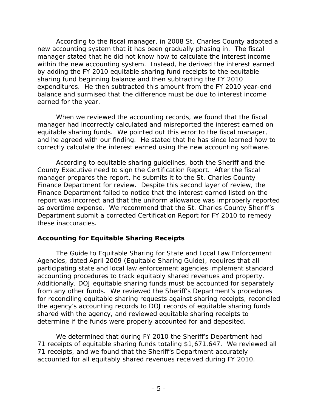new accounting system that it has been gradually phasing in. The fiscal manager stated that he did not know how to calculate the interest income by adding the FY 2010 equitable sharing fund receipts to the equitable sharing fund beginning balance and then subtracting the FY 2010 According to the fiscal manager, in 2008 St. Charles County adopted a within the new accounting system. Instead, he derived the interest earned expenditures. He then subtracted this amount from the FY 2010 year-end balance and surmised that the difference must be due to interest income earned for the year.

 manager had incorrectly calculated and misreported the interest earned on correctly calculate the interest earned using the new accounting software. When we reviewed the accounting records, we found that the fiscal equitable sharing funds. We pointed out this error to the fiscal manager, and he agreed with our finding. He stated that he has since learned how to

 According to equitable sharing guidelines, both the Sheriff and the manager prepares the report, he submits it to the St. Charles County Finance Department for review. Despite this second layer of review, the report was incorrect and that the uniform allowance was improperly reported Department submit a corrected Certification Report for FY 2010 to remedy County Executive need to sign the Certification Report. After the fiscal Finance Department failed to notice that the interest earned listed on the as overtime expense. We recommend that the St. Charles County Sheriff's these inaccuracies.

### **Accounting for Equitable Sharing Receipts**

 Agencies, dated April 2009 (Equitable Sharing Guide), requires that all accounting procedures to track equitably shared revenues and property. from any other funds. We reviewed the Sheriff's Department's procedures The Guide to Equitable Sharing for State and Local Law Enforcement participating state and local law enforcement agencies implement standard Additionally, DOJ equitable sharing funds must be accounted for separately for reconciling equitable sharing requests against sharing receipts, reconciled the agency's accounting records to DOJ records of equitable sharing funds shared with the agency, and reviewed equitable sharing receipts to determine if the funds were properly accounted for and deposited.

 We determined that during FY 2010 the Sheriff's Department had 71 receipts, and we found that the Sheriff's Department accurately 71 receipts of equitable sharing funds totaling \$1,671,647. We reviewed all accounted for all equitably shared revenues received during FY 2010.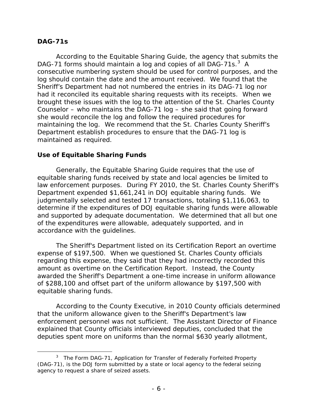#### **DAG-71s**

 $\overline{a}$ 

DAG-71 forms should maintain a log and copies of all DAG-71s.<sup>3</sup> A Sheriff's Department had not numbered the entries in its DAG-71 log nor had it reconciled its equitable sharing requests with its receipts. When we Counselor – who maintains the DAG-71 log – she said that going forward she would reconcile the log and follow the required procedures for According to the Equitable Sharing Guide, the agency that submits the consecutive numbering system should be used for control purposes, and the log should contain the date and the amount received. We found that the brought these issues with the log to the attention of the St. Charles County maintaining the log. We recommend that the St. Charles County Sheriff's Department establish procedures to ensure that the DAG-71 log is maintained as required.

#### **Use of Equitable Sharing Funds**

 Generally, the Equitable Sharing Guide requires that the use of equitable sharing funds received by state and local agencies be limited to Department expended \$1,661,241 in DOJ equitable sharing funds. We law enforcement purposes. During FY 2010, the St. Charles County Sheriff's judgmentally selected and tested 17 transactions, totaling \$1,116,063, to determine if the expenditures of DOJ equitable sharing funds were allowable and supported by adequate documentation. We determined that all but one of the expenditures were allowable, adequately supported, and in accordance with the guidelines.

 regarding this expense, they said that they had incorrectly recorded this of \$288,100 and offset part of the uniform allowance by \$197,500 with The Sheriff's Department listed on its Certification Report an overtime expense of \$197,500. When we questioned St. Charles County officials amount as overtime on the Certification Report. Instead, the County awarded the Sheriff's Department a one-time increase in uniform allowance equitable sharing funds.

 explained that County officials interviewed deputies, concluded that the According to the County Executive, in 2010 County officials determined that the uniform allowance given to the Sheriff's Department's law enforcement personnel was not sufficient. The Assistant Director of Finance deputies spent more on uniforms than the normal \$630 yearly allotment,

<span id="page-9-0"></span><sup>&</sup>lt;sup>3</sup> The Form DAG-71, Application for Transfer of Federally Forfeited Property (DAG-71), is the DOJ form submitted by a state or local agency to the federal seizing agency to request a share of seized assets.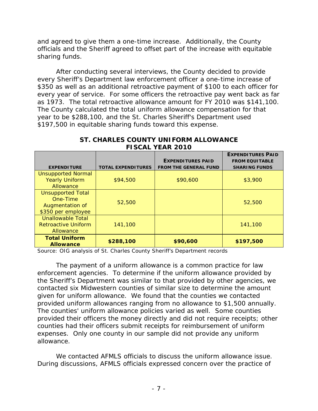sharing funds. and agreed to give them a one-time increase. Additionally, the County officials and the Sheriff agreed to offset part of the increase with equitable

 year to be \$288,100, and the St. Charles Sheriff's Department used \$197,500 in equitable sharing funds toward this expense. After conducting several interviews, the County decided to provide every Sheriff's Department law enforcement officer a one-time increase of \$350 as well as an additional retroactive payment of \$100 to each officer for every year of service. For some officers the retroactive pay went back as far as 1973. The total retroactive allowance amount for FY 2010 was \$141,100. The County calculated the total uniform allowance compensation for that

|                            |                           |                              | <b>EXPENDITURES PAID</b> |
|----------------------------|---------------------------|------------------------------|--------------------------|
|                            |                           | <b>EXPENDITURES PAID</b>     | <b>FROM EQUITABLE</b>    |
| <b>EXPENDITURE</b>         | <b>TOTAL EXPENDITURES</b> | <b>FROM THE GENERAL FUND</b> | <b>SHARING FUNDS</b>     |
| <b>Unsupported Normal</b>  |                           |                              |                          |
| <b>Yearly Uniform</b>      | \$94,500                  | \$90,600                     | \$3,900                  |
| Allowance                  |                           |                              |                          |
| <b>Unsupported Total</b>   |                           |                              |                          |
| One-Time                   | 52,500                    |                              | 52,500                   |
| Augmentation of            |                           |                              |                          |
| \$350 per employee         |                           |                              |                          |
| <b>Unallowable Total</b>   |                           |                              |                          |
| <b>Retroactive Uniform</b> | 141,100                   |                              | 141,100                  |
| Allowance                  |                           |                              |                          |
| <b>Total Uniform</b>       |                           |                              |                          |
| <b>Allowance</b>           | \$288,100                 | \$90,600                     | \$197,500                |

#### **ST. CHARLES COUNTY UNIFORM ALLOWANCE FISCAL YEAR 2010**

Source: OIG analysis of St. Charles County Sheriff's Department records

 provided uniform allowances ranging from no allowance to \$1,500 annually. The counties' uniform allowance policies varied as well. Some counties provided their officers the money directly and did not require receipts; other The payment of a uniform allowance is a common practice for law enforcement agencies. To determine if the uniform allowance provided by the Sheriff's Department was similar to that provided by other agencies, we contacted six Midwestern counties of similar size to determine the amount given for uniform allowance. We found that the counties we contacted counties had their officers submit receipts for reimbursement of uniform expenses. Only one county in our sample did not provide any uniform allowance.

 During discussions, AFMLS officials expressed concern over the practice of We contacted AFMLS officials to discuss the uniform allowance issue.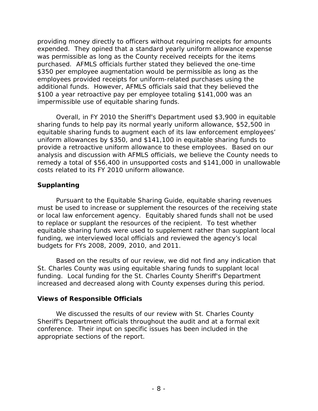expended. They opined that a standard yearly uniform allowance expense purchased. AFMLS officials further stated they believed the one-time \$350 per employee augmentation would be permissible as long as the additional funds. However, AFMLS officials said that they believed the providing money directly to officers without requiring receipts for amounts was permissible as long as the County received receipts for the items employees provided receipts for uniform-related purchases using the \$100 a year retroactive pay per employee totaling \$141,000 was an impermissible use of equitable sharing funds.

 sharing funds to help pay its normal yearly uniform allowance, \$52,500 in uniform allowances by \$350, and \$141,100 in equitable sharing funds to Overall, in FY 2010 the Sheriff's Department used \$3,900 in equitable equitable sharing funds to augment each of its law enforcement employees' provide a retroactive uniform allowance to these employees. Based on our analysis and discussion with AFMLS officials, we believe the County needs to remedy a total of \$56,400 in unsupported costs and \$141,000 in unallowable costs related to its FY 2010 uniform allowance.

### **Supplanting**

 or local law enforcement agency. Equitably shared funds shall not be used Pursuant to the Equitable Sharing Guide, equitable sharing revenues must be used to increase or supplement the resources of the receiving state to replace or supplant the resources of the recipient. To test whether equitable sharing funds were used to supplement rather than supplant local funding, we interviewed local officials and reviewed the agency's local budgets for FYs 2008, 2009, 2010, and 2011.

 funding. Local funding for the St. Charles County Sheriff's Department Based on the results of our review, we did not find any indication that St. Charles County was using equitable sharing funds to supplant local increased and decreased along with County expenses during this period.

### **Views of Responsible Officials**

 Sheriff's Department officials throughout the audit and at a formal exit We discussed the results of our review with St. Charles County conference. Their input on specific issues has been included in the appropriate sections of the report.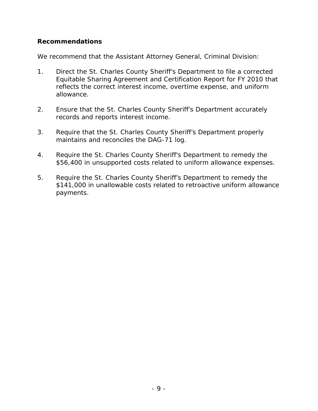### **Recommendations**

We recommend that the Assistant Attorney General, Criminal Division:

- Equitable Sharing Agreement and Certification Report for FY 2010 that reflects the correct interest income, overtime expense, and uniform 1. Direct the St. Charles County Sheriff's Department to file a corrected allowance.
- 2. Ensure that the St. Charles County Sheriff's Department accurately records and reports interest income.
- 3. Require that the St. Charles County Sheriff's Department properly maintains and reconciles the DAG-71 log.
- 4. Require the St. Charles County Sheriff's Department to remedy the \$56,400 in unsupported costs related to uniform allowance expenses.
- \$141,000 in unallowable costs related to retroactive uniform allowance 5. Require the St. Charles County Sheriff's Department to remedy the payments.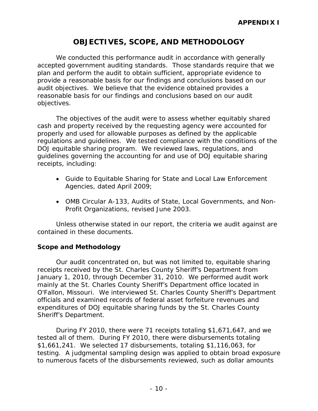## **OBJECTIVES, SCOPE, AND METHODOLOGY**

 reasonable basis for our findings and conclusions based on our audit We conducted this performance audit in accordance with generally accepted government auditing standards. Those standards require that we plan and perform the audit to obtain sufficient, appropriate evidence to provide a reasonable basis for our findings and conclusions based on our audit objectives. We believe that the evidence obtained provides a objectives.

 regulations and guidelines. We tested compliance with the conditions of the The objectives of the audit were to assess whether equitably shared cash and property received by the requesting agency were accounted for properly and used for allowable purposes as defined by the applicable DOJ equitable sharing program. We reviewed laws, regulations, and guidelines governing the accounting for and use of DOJ equitable sharing receipts, including:

- Guide to Equitable Sharing for State and Local Law Enforcement Agencies, dated April 2009;
- OMB Circular A-133, Audits of State, Local Governments, and Non-Profit Organizations, revised June 2003.

Unless otherwise stated in our report, the criteria we audit against are contained in these documents.

### **Scope and Methodology**

Our audit concentrated on, but was not limited to, equitable sharing receipts received by the St. Charles County Sheriff's Department from January 1, 2010, through December 31, 2010. We performed audit work mainly at the St. Charles County Sheriff's Department office located in O'Fallon, Missouri. We interviewed St. Charles County Sheriff's Department officials and examined records of federal asset forfeiture revenues and expenditures of DOJ equitable sharing funds by the St. Charles County Sheriff's Department.

During FY 2010, there were 71 receipts totaling \$1,671,647, and we tested all of them. During FY 2010, there were disbursements totaling \$1,661,241. We selected 17 disbursements, totaling \$1,116,063, for testing. A judgmental sampling design was applied to obtain broad exposure to numerous facets of the disbursements reviewed, such as dollar amounts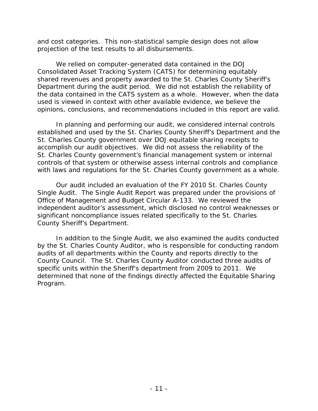and cost categories. This non-statistical sample design does not allow projection of the test results to all disbursements.

 We relied on computer-generated data contained in the DOJ Consolidated Asset Tracking System (CATS) for determining equitably shared revenues and property awarded to the St. Charles County Sheriff's Department during the audit period. We did not establish the reliability of the data contained in the CATS system as a whole. However, when the data used is viewed in context with other available evidence, we believe the opinions, conclusions, and recommendations included in this report are valid.

 established and used by the St. Charles County Sheriff's Department and the accomplish our audit objectives. We did not assess the reliability of the In planning and performing our audit, we considered internal controls St. Charles County government over DOJ equitable sharing receipts to St. Charles County government's financial management system or internal controls of that system or otherwise assess internal controls and compliance with laws and regulations for the St. Charles County government as a whole.

 Our audit included an evaluation of the FY 2010 St. Charles County Single Audit. The Single Audit Report was prepared under the provisions of Office of Management and Budget Circular A-133. We reviewed the independent auditor's assessment, which disclosed no control weaknesses or significant noncompliance issues related specifically to the St. Charles County Sheriff's Department.

 audits of all departments within the County and reports directly to the County Council. The St. Charles County Auditor conducted three audits of specific units within the Sheriff's department from 2009 to 2011. We In addition to the Single Audit, we also examined the audits conducted by the St. Charles County Auditor, who is responsible for conducting random determined that none of the findings directly affected the Equitable Sharing Program.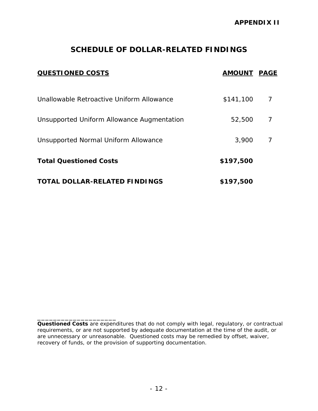## **SCHEDULE OF DOLLAR-RELATED FINDINGS**

| <b>QUESTIONED COSTS</b>                    | <b>AMOUNT PAGE</b> |   |
|--------------------------------------------|--------------------|---|
| Unallowable Retroactive Uniform Allowance  | \$141,100          | 7 |
| Unsupported Uniform Allowance Augmentation | 52,500             | 7 |
| Unsupported Normal Uniform Allowance       | 3,900              | 7 |
| <b>Total Questioned Costs</b>              | \$197,500          |   |
| <b>TOTAL DOLLAR-RELATED FINDINGS</b>       | \$197,500          |   |

\_\_\_\_\_\_\_\_\_\_\_\_\_\_\_\_\_\_\_\_

 *Questioned Costs* are expenditures that do not comply with legal, regulatory, or contractual requirements, or are not supported by adequate documentation at the time of the audit, or are unnecessary or unreasonable. Questioned costs may be remedied by offset, waiver, recovery of funds, or the provision of supporting documentation.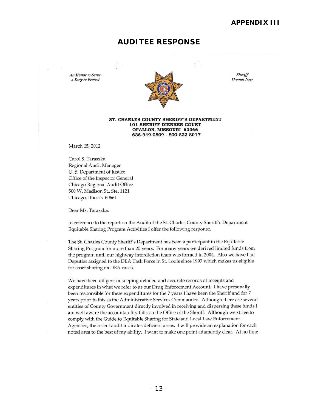#### **APPENDIX III**

#### **AUDITEE RESPONSE**

A Duty to Protect



#### **ST. CHARLES COUNTY SHERIFF'S DEPARTMENT 101 SHERIFF DIERKER COURT OFALLON, MISSOURI 63366 636-949-0809 - 800-822-80 I 7**

March 15, 2012

Caro! S. Taraszka Regional Audit Manager U. S. Department of Justice Office of the Inspector General Chicago Regional Audit Office 500 W. Madison St., Ste. **1121**  Chicago, llIinois 60661

Dear Ms. Taraszka:

In reference to the report on the Audit of the St. Charles County Sheriff's Department Equitable Sharing Program Activities I offer the following response.

The St. Charles County Sheriff's Department has been a participant in the Equitable Sharing Program for more than 20 years. For many years we derived limited funds from the program until our highway interdiction team was formed in 2004. Also we have had Deputies assigned to the DEA Task Force in St. Louis since 1997 which makes us eligible for asset sharing on DEA cases.

We have been diligent in keeping detailed and accurate records of receipts and expenditures in what we refer to as our Drug Enforcement Account. I have personally been responsible for these expenditures for the 7 years I have been the Sheriff and for 7 years prior to this as the Administrative Services Commander. Although there are several entities of County Government directly involved in receiving and dispersing these funds I am well aware the accountability falls on the Office of the Sheriff. Although we strive to comply with the Guide to Equitable Sharing for State and Local Law Enforcement Agencies, the recent audit indicates deficient areas. J will provide an explanation for each noted area to the best of my ability. I want to make one point adamantly clear. At no time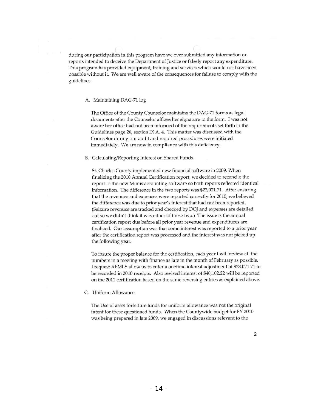during our participation in this program have we ever submitted any information or reports intended to deceive the Department of Justice or falsely report any expenditure. This program has provided equipment, training and services which would not have been possible without it. We are well aware of the consequences for failure to comply with the guidelines.

#### A. Maintaining DAG-71 log

The Office of the County Counselor maintains the DAG-71 forms as legal documents after the Counselor affixes her signature to the form. I was not aware her office had not been informed of the requirements set forth in the Guidelines page 26, section IX A. 4. This matter was discussed with the Counselor during our audit and required procedures were initiated immediately. We are now in compliance with this deficiency.

#### B. Calculating/Reporting Interest on Shared Funds.

St. Charles County implemented new financial software in 2009. When finalizing the 2010 Annual Certification report, we decided to reconcile the report to the new Munis accounting software so both reports reflected identical information. The difference in the two reports was \$23,021.71. After ensuring that the revenues and expenses were reported correctly for 2010, we believed the difference was due to prior year's interest that had not been reported. (Seizure revenues are tracked and checked by DOJ and expenses are detailed out so we didn't think it was either of these two.) The issue is the annual certification report due before all prior year revenue and expenditures are finalized. Our assumption was that some interest was reported to a prior year after the certification report was processed and the interest was not picked up the following year.

To insure the proper balance for the certification, each year I will review all the numbers in a meeting with finance as late in the month of February as possible. I request AFMLS allow us to enter a onetime interest adjustment of \$23,021.71 to be recorded in 2010 receipts. Also revised interest of \$40,102.22 will be reported on the 2011 certification based on the same reversing entries as explained above.

#### C. Uniform Al10wance

The Use of asset forfeiture funds for uniform allowance was not the original intent for these questioned funds. When the Countywide budget for FY 2010 was being prepared in late 2009, we engaged in discussions relevant to the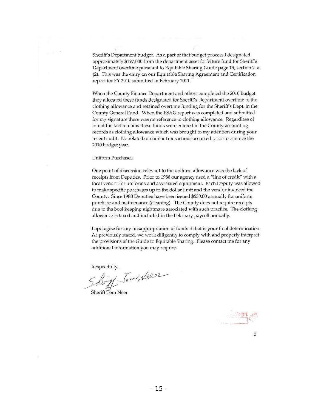Sheriff's Department budget. As a part of that budget process I designated approximately \$197,000 from the department asset forfeiture fund for Sheriff's Department overtime pursuant to Equitable Sharing Guide page 19, section 2. a. (2). This was the entry on our Equitable Sharing Agreement and Certification report for FY 2010 submitted in February 2011.

When the County Pinance Department and others completed the 2010 budget they allocated these funds designated for Sheriff's Department overtime to the clothing allowance and retained overtime funding for the Sheriff's Dept. in the County General Fund. When the ESAG report was completed and submitted for my signature there was no reference to clothing allowance. Regardless of intent the fact remains these funds were entered in the County accounting records as clothing allowance which was brought to my attention during your recent audit. No related or similar transactions occurred prior to or since the 2010 budget year.

#### Uniform Purchases

One point of discussion relevant to the uniform allowance was the lack of receipts from Deputies. Prior to 1988 our agency used a "line of credit" with a local vendor for uniforms and associated equipment. Each Deputy was allowed to make specific purchases up to the dollar limit and the vendor invoiced the County. Since 1988 Deputies have been issued \$630.00 annually for uniform purchase and maintenance (cleaning). The County does not require receipts due to the bookkeeping nightmare associated with such practice. The clothing allowance is taxed and included in the February payroll annually.

I apologize for any misappropriation of funds if that is your final determination. As previously stated, we work diligently to comply with and properly interpret the provisions of the Guide to Equitable Sharing. Please contact me for any additional information you may require.

Respectfully,

Respectivity,<br>Shortf-Tom Neer Sheriff Tom Neer

.

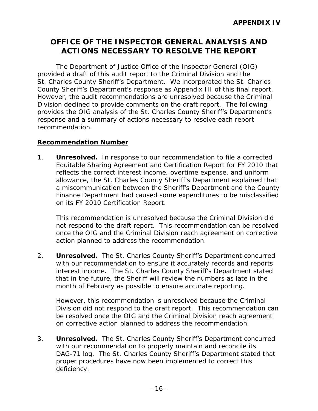## **OFFICE OF THE INSPECTOR GENERAL ANALYSIS AND ACTIONS NECESSARY TO RESOLVE THE REPORT**

The Department of Justice Office of the Inspector General (OIG) provided a draft of this audit report to the Criminal Division and the St. Charles County Sheriff's Department. We incorporated the St. Charles County Sheriff's Department's response as Appendix III of this final report. However, the audit recommendations are unresolved because the Criminal Division declined to provide comments on the draft report. The following provides the OIG analysis of the St. Charles County Sheriff's Department's response and a summary of actions necessary to resolve each report recommendation.

#### **Recommendation Number**

 $\mathbf 1$ . reflects the correct interest income, overtime expense, and uniform **Unresolved.** In response to our recommendation to file a corrected Equitable Sharing Agreement and Certification Report for FY 2010 that allowance, the St. Charles County Sheriff's Department explained that a miscommunication between the Sheriff's Department and the County Finance Department had caused some expenditures to be misclassified on its FY 2010 Certification Report.

This recommendation is unresolved because the Criminal Division did not respond to the draft report. This recommendation can be resolved once the OIG and the Criminal Division reach agreement on corrective action planned to address the recommendation.

2. **Unresolved.** The St. Charles County Sheriff's Department concurred interest income. The St. Charles County Sheriff's Department stated that in the future, the Sheriff will review the numbers as late in the month of February as possible to ensure accurate reporting. with our recommendation to ensure it accurately records and reports

 However, this recommendation is unresolved because the Criminal Division did not respond to the draft report. This recommendation can be resolved once the OIG and the Criminal Division reach agreement on corrective action planned to address the recommendation.

 3. **Unresolved.** The St. Charles County Sheriff's Department concurred DAG-71 log. The St. Charles County Sheriff's Department stated that with our recommendation to properly maintain and reconcile its proper procedures have now been implemented to correct this deficiency.